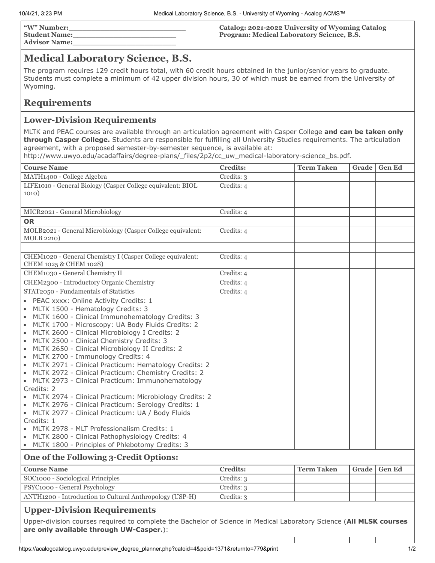**"W" Number:\_\_\_\_\_\_\_\_\_\_\_\_\_\_\_\_\_\_\_\_\_\_\_\_\_\_ Student Name:\_\_\_\_\_\_\_\_\_\_\_\_\_\_\_\_\_\_\_\_\_\_\_ Advisor Name:\_\_\_\_\_\_\_\_\_\_\_\_\_\_\_\_\_\_\_\_\_\_\_** **Catalog: 2021-2022 University of Wyoming Catalog Program: Medical Laboratory Science, B.S.**

## **Medical Laboratory Science, B.S.**

The program requires 129 credit hours total, with 60 credit hours obtained in the junior/senior years to graduate. Students must complete a minimum of 42 upper division hours, 30 of which must be earned from the University of Wyoming.

### **Requirements**

### **Lower-Division Requirements**

MLTK and PEAC courses are available through an articulation agreement with Casper College **and can be taken only through Casper College.** Students are responsible for fulfilling all University Studies requirements. The articulation agreement, with a proposed semester-by-semester sequence, is available at:

http://www.uwyo.edu/acadaffairs/degree-plans/\_files/2p2/cc\_uw\_medical-laboratory-science\_bs.pdf.

| <b>Course Name</b>                                                                                                                                                                                                                                                                                                                                                                                                                                                                                                                                                                                                                                                                                                                                                                                                                                                                                                                                                                                                                                         | <b>Credits:</b> | <b>Term Taken</b> | Grade | <b>Gen Ed</b> |
|------------------------------------------------------------------------------------------------------------------------------------------------------------------------------------------------------------------------------------------------------------------------------------------------------------------------------------------------------------------------------------------------------------------------------------------------------------------------------------------------------------------------------------------------------------------------------------------------------------------------------------------------------------------------------------------------------------------------------------------------------------------------------------------------------------------------------------------------------------------------------------------------------------------------------------------------------------------------------------------------------------------------------------------------------------|-----------------|-------------------|-------|---------------|
| MATH1400 - College Algebra                                                                                                                                                                                                                                                                                                                                                                                                                                                                                                                                                                                                                                                                                                                                                                                                                                                                                                                                                                                                                                 | Credits: 3      |                   |       |               |
| LIFE1010 - General Biology (Casper College equivalent: BIOL                                                                                                                                                                                                                                                                                                                                                                                                                                                                                                                                                                                                                                                                                                                                                                                                                                                                                                                                                                                                | Credits: 4      |                   |       |               |
| 1010)                                                                                                                                                                                                                                                                                                                                                                                                                                                                                                                                                                                                                                                                                                                                                                                                                                                                                                                                                                                                                                                      |                 |                   |       |               |
|                                                                                                                                                                                                                                                                                                                                                                                                                                                                                                                                                                                                                                                                                                                                                                                                                                                                                                                                                                                                                                                            |                 |                   |       |               |
| MICR2021 - General Microbiology                                                                                                                                                                                                                                                                                                                                                                                                                                                                                                                                                                                                                                                                                                                                                                                                                                                                                                                                                                                                                            | Credits: 4      |                   |       |               |
| <b>OR</b>                                                                                                                                                                                                                                                                                                                                                                                                                                                                                                                                                                                                                                                                                                                                                                                                                                                                                                                                                                                                                                                  |                 |                   |       |               |
| MOLB2021 - General Microbiology (Casper College equivalent:<br><b>MOLB 2210)</b>                                                                                                                                                                                                                                                                                                                                                                                                                                                                                                                                                                                                                                                                                                                                                                                                                                                                                                                                                                           | Credits: 4      |                   |       |               |
|                                                                                                                                                                                                                                                                                                                                                                                                                                                                                                                                                                                                                                                                                                                                                                                                                                                                                                                                                                                                                                                            |                 |                   |       |               |
| CHEM1020 - General Chemistry I (Casper College equivalent:<br>CHEM 1025 & CHEM 1028)                                                                                                                                                                                                                                                                                                                                                                                                                                                                                                                                                                                                                                                                                                                                                                                                                                                                                                                                                                       | Credits: 4      |                   |       |               |
| CHEM1030 - General Chemistry II                                                                                                                                                                                                                                                                                                                                                                                                                                                                                                                                                                                                                                                                                                                                                                                                                                                                                                                                                                                                                            | Credits: 4      |                   |       |               |
| CHEM2300 - Introductory Organic Chemistry                                                                                                                                                                                                                                                                                                                                                                                                                                                                                                                                                                                                                                                                                                                                                                                                                                                                                                                                                                                                                  | Credits: 4      |                   |       |               |
| STAT2050 - Fundamentals of Statistics                                                                                                                                                                                                                                                                                                                                                                                                                                                                                                                                                                                                                                                                                                                                                                                                                                                                                                                                                                                                                      | Credits: 4      |                   |       |               |
| • PEAC xxxx: Online Activity Credits: 1<br>$\bullet$<br>MLTK 1500 - Hematology Credits: 3<br>MLTK 1600 - Clinical Immunohematology Credits: 3<br>$\bullet$<br>MLTK 1700 - Microscopy: UA Body Fluids Credits: 2<br>$\bullet$<br>MLTK 2600 - Clinical Microbiology I Credits: 2<br>$\bullet$<br>MLTK 2500 - Clinical Chemistry Credits: 3<br>$\bullet$<br>MLTK 2650 - Clinical Microbiology II Credits: 2<br>$\bullet$<br>MLTK 2700 - Immunology Credits: 4<br>$\bullet$<br>MLTK 2971 - Clinical Practicum: Hematology Credits: 2<br>$\bullet$<br>MLTK 2972 - Clinical Practicum: Chemistry Credits: 2<br>$\bullet$<br>MLTK 2973 - Clinical Practicum: Immunohematology<br>$\bullet$<br>Credits: 2<br>MLTK 2974 - Clinical Practicum: Microbiology Credits: 2<br>$\bullet$<br>MLTK 2976 - Clinical Practicum: Serology Credits: 1<br>• MLTK 2977 - Clinical Practicum: UA / Body Fluids<br>Credits: 1<br>MLTK 2978 - MLT Professionalism Credits: 1<br>MLTK 2800 - Clinical Pathophysiology Credits: 4<br>• MLTK 1800 - Principles of Phlebotomy Credits: 3 |                 |                   |       |               |
| One of the Following 3-Credit Options:                                                                                                                                                                                                                                                                                                                                                                                                                                                                                                                                                                                                                                                                                                                                                                                                                                                                                                                                                                                                                     | <b>Credits:</b> | <b>Term Taken</b> |       |               |
| <b>Course Name</b><br>SOC1000 - Sociological Principles                                                                                                                                                                                                                                                                                                                                                                                                                                                                                                                                                                                                                                                                                                                                                                                                                                                                                                                                                                                                    | Credits: 3      |                   | Grade | <b>Gen Ed</b> |
| PSYC1000 - General Psychology                                                                                                                                                                                                                                                                                                                                                                                                                                                                                                                                                                                                                                                                                                                                                                                                                                                                                                                                                                                                                              | Credits: 3      |                   |       |               |
| ANTH1200 - Introduction to Cultural Anthropology (USP-H)                                                                                                                                                                                                                                                                                                                                                                                                                                                                                                                                                                                                                                                                                                                                                                                                                                                                                                                                                                                                   | Credits: 3      |                   |       |               |
|                                                                                                                                                                                                                                                                                                                                                                                                                                                                                                                                                                                                                                                                                                                                                                                                                                                                                                                                                                                                                                                            |                 |                   |       |               |
| <b><i><u>Inner-Division Requirements</u></i></b>                                                                                                                                                                                                                                                                                                                                                                                                                                                                                                                                                                                                                                                                                                                                                                                                                                                                                                                                                                                                           |                 |                   |       |               |

### **Upper-Division Requirements**

Upper-division courses required to complete the Bachelor of Science in Medical Laboratory Science (**All MLSK courses are only available through UW-Casper.**):